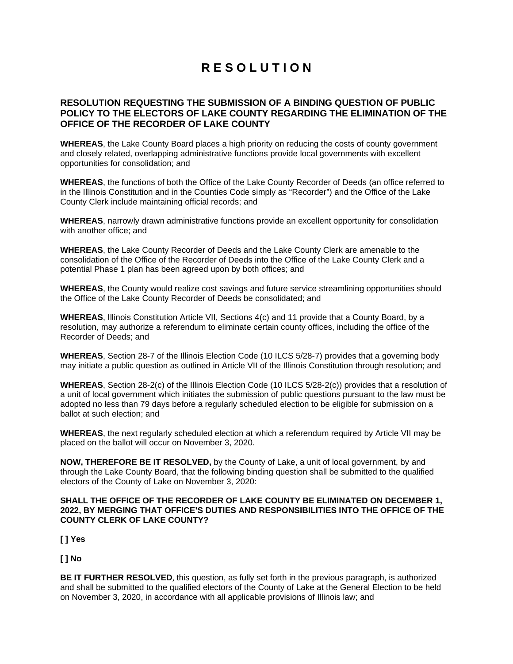## **R E S O L U T I O N**

## **RESOLUTION REQUESTING THE SUBMISSION OF A BINDING QUESTION OF PUBLIC POLICY TO THE ELECTORS OF LAKE COUNTY REGARDING THE ELIMINATION OF THE OFFICE OF THE RECORDER OF LAKE COUNTY**

**WHEREAS**, the Lake County Board places a high priority on reducing the costs of county government and closely related, overlapping administrative functions provide local governments with excellent opportunities for consolidation; and

**WHEREAS**, the functions of both the Office of the Lake County Recorder of Deeds (an office referred to in the Illinois Constitution and in the Counties Code simply as "Recorder") and the Office of the Lake County Clerk include maintaining official records; and

**WHEREAS**, narrowly drawn administrative functions provide an excellent opportunity for consolidation with another office; and

**WHEREAS**, the Lake County Recorder of Deeds and the Lake County Clerk are amenable to the consolidation of the Office of the Recorder of Deeds into the Office of the Lake County Clerk and a potential Phase 1 plan has been agreed upon by both offices; and

**WHEREAS**, the County would realize cost savings and future service streamlining opportunities should the Office of the Lake County Recorder of Deeds be consolidated; and

**WHEREAS**, Illinois Constitution Article VII, Sections 4(c) and 11 provide that a County Board, by a resolution, may authorize a referendum to eliminate certain county offices, including the office of the Recorder of Deeds; and

**WHEREAS**, Section 28-7 of the Illinois Election Code (10 ILCS 5/28-7) provides that a governing body may initiate a public question as outlined in Article VII of the Illinois Constitution through resolution; and

**WHEREAS**, Section 28-2(c) of the Illinois Election Code (10 ILCS 5/28-2(c)) provides that a resolution of a unit of local government which initiates the submission of public questions pursuant to the law must be adopted no less than 79 days before a regularly scheduled election to be eligible for submission on a ballot at such election; and

**WHEREAS**, the next regularly scheduled election at which a referendum required by Article VII may be placed on the ballot will occur on November 3, 2020.

**NOW, THEREFORE BE IT RESOLVED,** by the County of Lake, a unit of local government, by and through the Lake County Board, that the following binding question shall be submitted to the qualified electors of the County of Lake on November 3, 2020:

## **SHALL THE OFFICE OF THE RECORDER OF LAKE COUNTY BE ELIMINATED ON DECEMBER 1, 2022, BY MERGING THAT OFFICE'S DUTIES AND RESPONSIBILITIES INTO THE OFFICE OF THE COUNTY CLERK OF LAKE COUNTY?**

**[ ] Yes**

**[ ] No**

**BE IT FURTHER RESOLVED**, this question, as fully set forth in the previous paragraph, is authorized and shall be submitted to the qualified electors of the County of Lake at the General Election to be held on November 3, 2020, in accordance with all applicable provisions of Illinois law; and